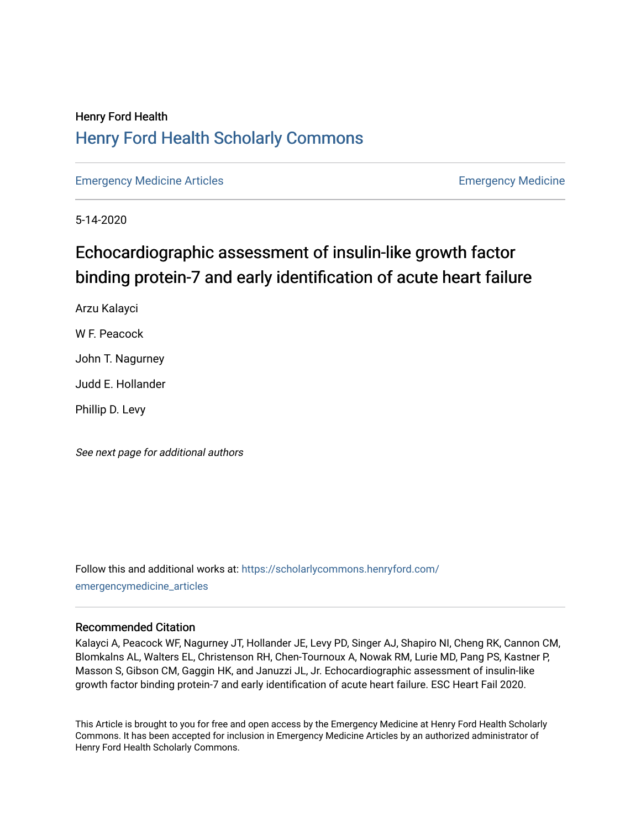## Henry Ford Health [Henry Ford Health Scholarly Commons](https://scholarlycommons.henryford.com/)

[Emergency Medicine Articles](https://scholarlycommons.henryford.com/emergencymedicine_articles) **Emergency Medicine** 

5-14-2020

## Echocardiographic assessment of insulin-like growth factor binding protein-7 and early identification of acute heart failure

Arzu Kalayci W F. Peacock John T. Nagurney Judd E. Hollander Phillip D. Levy

See next page for additional authors

Follow this and additional works at: [https://scholarlycommons.henryford.com/](https://scholarlycommons.henryford.com/emergencymedicine_articles?utm_source=scholarlycommons.henryford.com%2Femergencymedicine_articles%2F194&utm_medium=PDF&utm_campaign=PDFCoverPages) [emergencymedicine\\_articles](https://scholarlycommons.henryford.com/emergencymedicine_articles?utm_source=scholarlycommons.henryford.com%2Femergencymedicine_articles%2F194&utm_medium=PDF&utm_campaign=PDFCoverPages) 

#### Recommended Citation

Kalayci A, Peacock WF, Nagurney JT, Hollander JE, Levy PD, Singer AJ, Shapiro NI, Cheng RK, Cannon CM, Blomkalns AL, Walters EL, Christenson RH, Chen-Tournoux A, Nowak RM, Lurie MD, Pang PS, Kastner P, Masson S, Gibson CM, Gaggin HK, and Januzzi JL, Jr. Echocardiographic assessment of insulin-like growth factor binding protein-7 and early identification of acute heart failure. ESC Heart Fail 2020.

This Article is brought to you for free and open access by the Emergency Medicine at Henry Ford Health Scholarly Commons. It has been accepted for inclusion in Emergency Medicine Articles by an authorized administrator of Henry Ford Health Scholarly Commons.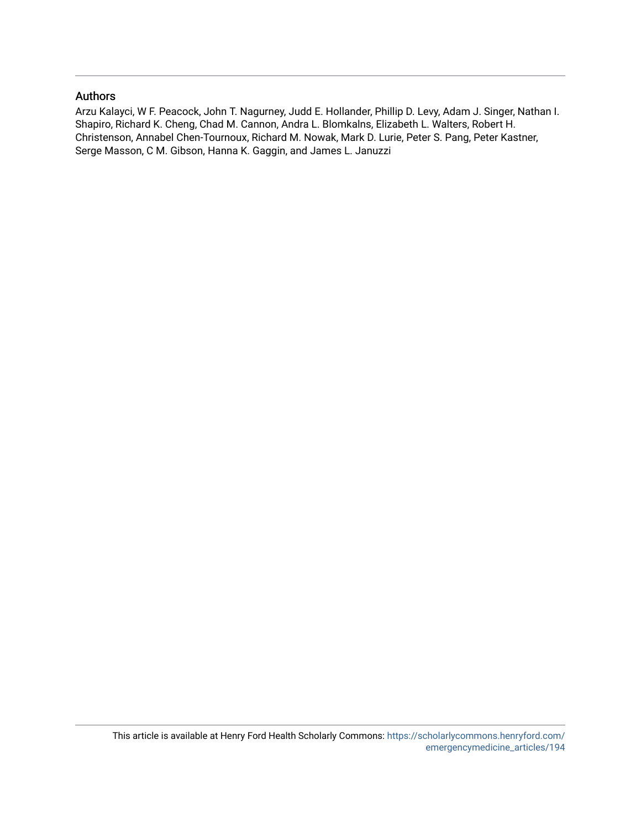#### Authors

Arzu Kalayci, W F. Peacock, John T. Nagurney, Judd E. Hollander, Phillip D. Levy, Adam J. Singer, Nathan I. Shapiro, Richard K. Cheng, Chad M. Cannon, Andra L. Blomkalns, Elizabeth L. Walters, Robert H. Christenson, Annabel Chen-Tournoux, Richard M. Nowak, Mark D. Lurie, Peter S. Pang, Peter Kastner, Serge Masson, C M. Gibson, Hanna K. Gaggin, and James L. Januzzi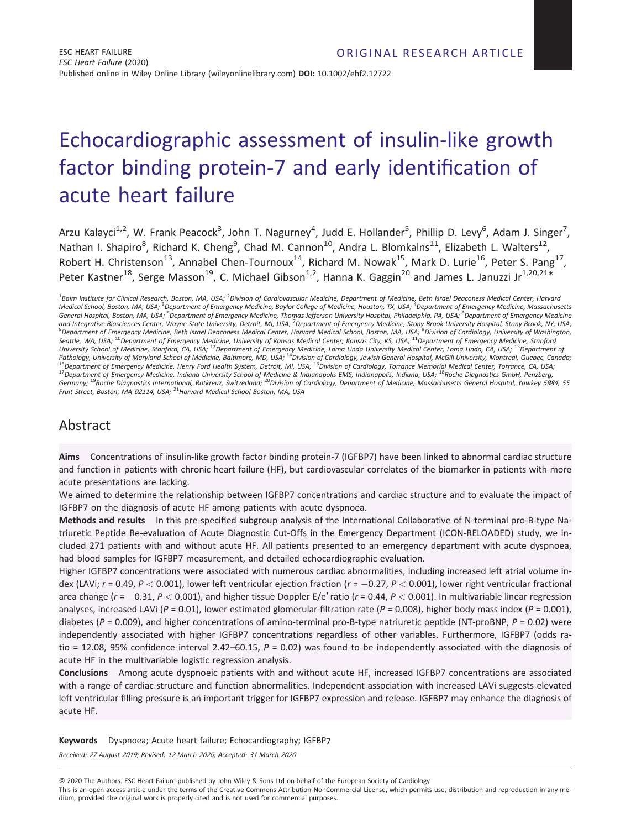# Echocardiographic assessment of insulin-like growth factor binding protein-7 and early identification of acute heart failure

Arzu Kalayci<sup>1,2</sup>, W. Frank Peacock<sup>3</sup>, John T. Nagurney<sup>4</sup>, Judd E. Hollander<sup>5</sup>, Phillip D. Levy<sup>6</sup>, Adam J. Singer<sup>7</sup>, Nathan I. Shapiro<sup>8</sup>, Richard K. Cheng<sup>9</sup>, Chad M. Cannon<sup>10</sup>, Andra L. Blomkalns<sup>11</sup>, Elizabeth L. Walters<sup>12</sup>, Robert H. Christenson<sup>13</sup>, Annabel Chen-Tournoux<sup>14</sup>, Richard M. Nowak<sup>15</sup>, Mark D. Lurie<sup>16</sup>, Peter S. Pang<sup>17</sup>, Peter Kastner<sup>18</sup>, Serge Masson<sup>19</sup>, C. Michael Gibson<sup>1,2</sup>, Hanna K. Gaggin<sup>20</sup> and James L. Januzzi Jr<sup>1,20,21</sup>\*

<sup>1</sup>Baim Institute for Clinical Research, Boston, MA, USA; <sup>2</sup>Division of Cardiovascular Medicine, Department of Medicine, Beth Israel Deaconess Medical Center, Harvara *Medical School, Boston, MA, USA;* <sup>3</sup> *Department of Emergency Medicine, Baylor College of Medicine, Houston, TX, USA;* <sup>4</sup> *Department of Emergency Medicine, Massachusetts General Hospital, Boston, MA, USA;* <sup>5</sup> *Department of Emergency Medicine, Thomas Jefferson University Hospital, Philadelphia, PA, USA;* <sup>6</sup> *Department of Emergency Medicine* and Integrative Biosciences Center, Wayne State University, Detroit, MI, USA; <sup>7</sup>Department of Emergency Medicine, Stony Brook University Hospital, Stony Brook, NY, USA; <sup>8</sup><br><sup>8</sup>Department of Emergency Medicine, Beth Israel *Department of Emergency Medicine, Beth Israel Deaconess Medical Center, Harvard Medical School, Boston, MA, USA;* <sup>9</sup> *Division of Cardiology, University of Washington, Seattle, WA, USA;* <sup>10</sup>*Department of Emergency Medicine, University of Kansas Medical Center, Kansas City, KS, USA;* <sup>11</sup>*Department of Emergency Medicine, Stanford University School of Medicine, Stanford, CA, USA;* <sup>12</sup>*Department of Emergency Medicine, Loma Linda University Medical Center, Loma Linda, CA, USA;* <sup>13</sup>*Department of* Pathology, University of Maryland School of Medicine, Baltimore, MD, USA; <sup>14</sup>Division of Cardiology, Jewish General Hospital, McGill University, Montreal, Quebec, Canada,<br><sup>15</sup>Department of Emergency Medicine, Henry Ford H Germany; <sup>19</sup>Roche Diagnostics International, Rotkreuz, Switzerland; <sup>20</sup>Division of Cardiology, Department of Medicine, Massachusetts General Hospital, Yawkey 5984, 55<br>Fruit Street, Boston, MA 02114, USA; <sup>21</sup>Harvard Medi

## Abstract

**Aims** Concentrations of insulin-like growth factor binding protein-7 (IGFBP7) have been linked to abnormal cardiac structure and function in patients with chronic heart failure (HF), but cardiovascular correlates of the biomarker in patients with more acute presentations are lacking.

We aimed to determine the relationship between IGFBP7 concentrations and cardiac structure and to evaluate the impact of IGFBP7 on the diagnosis of acute HF among patients with acute dyspnoea.

**Methods and results** In this pre-specified subgroup analysis of the International Collaborative of N-terminal pro-B-type Natriuretic Peptide Re-evaluation of Acute Diagnostic Cut-Offs in the Emergency Department (ICON-RELOADED) study, we included 271 patients with and without acute HF. All patients presented to an emergency department with acute dyspnoea, had blood samples for IGFBP7 measurement, and detailed echocardiographic evaluation.

Higher IGFBP7 concentrations were associated with numerous cardiac abnormalities, including increased left atrial volume index (LAVi; *r* = 0.49, *P <* 0.001), lower left ventricular ejection fraction (*r* = 0.27, *P <* 0.001), lower right ventricular fractional area change (*r* = 0.31, *P <* 0.001), and higher tissue Doppler E/e′ ratio (*r* = 0.44, *P <* 0.001). In multivariable linear regression analyses, increased LAVi (*P* = 0.01), lower estimated glomerular filtration rate (*P* = 0.008), higher body mass index (*P* = 0.001), diabetes (*P* = 0.009), and higher concentrations of amino-terminal pro-B-type natriuretic peptide (NT-proBNP, *P* = 0.02) were independently associated with higher IGFBP7 concentrations regardless of other variables. Furthermore, IGFBP7 (odds ratio = 12.08, 95% confidence interval 2.42–60.15, P = 0.02) was found to be independently associated with the diagnosis of acute HF in the multivariable logistic regression analysis.

**Conclusions** Among acute dyspnoeic patients with and without acute HF, increased IGFBP7 concentrations are associated with a range of cardiac structure and function abnormalities. Independent association with increased LAVi suggests elevated left ventricular filling pressure is an important trigger for IGFBP7 expression and release. IGFBP7 may enhance the diagnosis of acute HF.

**Keywords** Dyspnoea; Acute heart failure; Echocardiography; IGFBP7

*Received: <sup>27</sup> August <sup>2019</sup>; Revised: <sup>12</sup> March <sup>2020</sup>; Accepted: <sup>31</sup> March <sup>2020</sup>*

© 2020 The Authors. ESC Heart Failure published by John Wiley & Sons Ltd on behalf of the European Society of Cardiology

This is an open access article under the terms of the [Creative Commons Attribution-NonCommercial](http://creativecommons.org/licenses/by-nc/4.0/) License, which permits use, distribution and reproduction in any medium, provided the original work is properly cited and is not used for commercial purposes.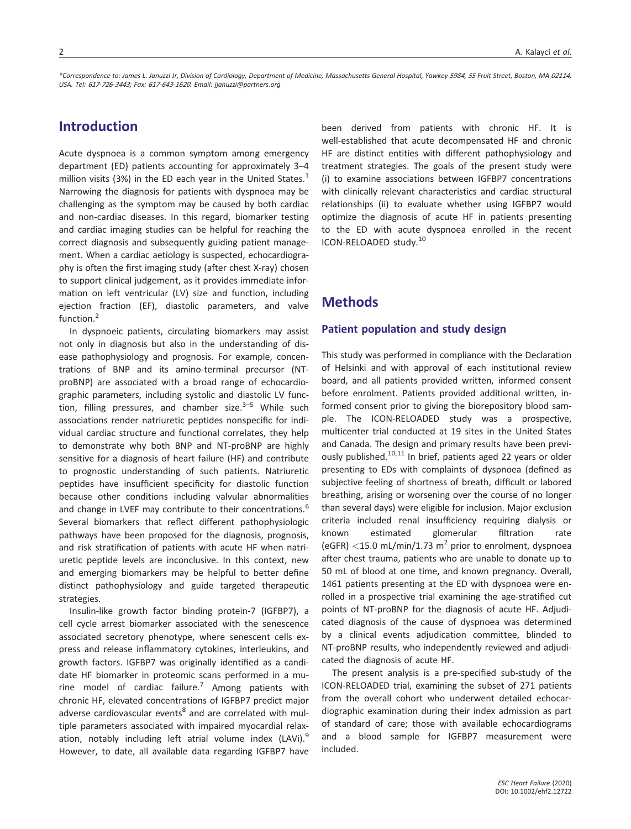*\*Correspondence to: James L. Januzzi Jr, Division of Cardiology, Department of Medicine, Massachusetts General Hospital, Yawkey <sup>5984</sup>, <sup>55</sup> Fruit Street, Boston, MA <sup>02114</sup>, USA. Tel: <sup>617</sup>-726-3443; Fax: <sup>617</sup>-643-1620. Email: [jjanuzzi@partners.org](mailto:jjanuzzi@partners.org)*

## **Introduction**

Acute dyspnoea is a common symptom among emergency department (ED) patients accounting for approximately 3–4 million visits (3%) in the ED each year in the United States. $<sup>1</sup>$ </sup> Narrowing the diagnosis for patients with dyspnoea may be challenging as the symptom may be caused by both cardiac and non-cardiac diseases. In this regard, biomarker testing and cardiac imaging studies can be helpful for reaching the correct diagnosis and subsequently guiding patient management. When a cardiac aetiology is suspected, echocardiography is often the first imaging study (after chest X-ray) chosen to support clinical judgement, as it provides immediate information on left ventricular (LV) size and function, including ejection fraction (EF), diastolic parameters, and valve function.<sup>2</sup>

In dyspnoeic patients, circulating biomarkers may assist not only in diagnosis but also in the understanding of disease pathophysiology and prognosis. For example, concentrations of BNP and its amino-terminal precursor (NTproBNP) are associated with a broad range of echocardiographic parameters, including systolic and diastolic LV function, filling pressures, and chamber size. $3-5$  While such associations render natriuretic peptides nonspecific for individual cardiac structure and functional correlates, they help to demonstrate why both BNP and NT-proBNP are highly sensitive for a diagnosis of heart failure (HF) and contribute to prognostic understanding of such patients. Natriuretic peptides have insufficient specificity for diastolic function because other conditions including valvular abnormalities and change in LVEF may contribute to their concentrations.<sup>6</sup> Several biomarkers that reflect different pathophysiologic pathways have been proposed for the diagnosis, prognosis, and risk stratification of patients with acute HF when natriuretic peptide levels are inconclusive. In this context, new and emerging biomarkers may be helpful to better define distinct pathophysiology and guide targeted therapeutic strategies.

Insulin-like growth factor binding protein-7 (IGFBP7), a cell cycle arrest biomarker associated with the senescence associated secretory phenotype, where senescent cells express and release inflammatory cytokines, interleukins, and growth factors. IGFBP7 was originally identified as a candidate HF biomarker in proteomic scans performed in a murine model of cardiac failure.<sup>7</sup> Among patients with chronic HF, elevated concentrations of IGFBP7 predict major adverse cardiovascular events<sup>8</sup> and are correlated with multiple parameters associated with impaired myocardial relaxation, notably including left atrial volume index (LAVi).<sup>9</sup> However, to date, all available data regarding IGFBP7 have

been derived from patients with chronic HF. It is well-established that acute decompensated HF and chronic HF are distinct entities with different pathophysiology and treatment strategies. The goals of the present study were (i) to examine associations between IGFBP7 concentrations with clinically relevant characteristics and cardiac structural relationships (ii) to evaluate whether using IGFBP7 would optimize the diagnosis of acute HF in patients presenting to the ED with acute dyspnoea enrolled in the recent ICON-RELOADED study.<sup>10</sup>

## **Methods**

#### **Patient population and study design**

This study was performed in compliance with the Declaration of Helsinki and with approval of each institutional review board, and all patients provided written, informed consent before enrolment. Patients provided additional written, informed consent prior to giving the biorepository blood sample. The ICON-RELOADED study was a prospective, multicenter trial conducted at 19 sites in the United States and Canada. The design and primary results have been previously published.<sup>10,11</sup> In brief, patients aged 22 years or older presenting to EDs with complaints of dyspnoea (defined as subjective feeling of shortness of breath, difficult or labored breathing, arising or worsening over the course of no longer than several days) were eligible for inclusion. Major exclusion criteria included renal insufficiency requiring dialysis or known estimated glomerular filtration rate (eGFR) *<*15.0 mL/min/1.73 m<sup>2</sup> prior to enrolment, dyspnoea after chest trauma, patients who are unable to donate up to 50 mL of blood at one time, and known pregnancy. Overall, 1461 patients presenting at the ED with dyspnoea were enrolled in a prospective trial examining the age-stratified cut points of NT-proBNP for the diagnosis of acute HF. Adjudicated diagnosis of the cause of dyspnoea was determined by a clinical events adjudication committee, blinded to NT-proBNP results, who independently reviewed and adjudicated the diagnosis of acute HF.

The present analysis is a pre-specified sub-study of the ICON-RELOADED trial, examining the subset of 271 patients from the overall cohort who underwent detailed echocardiographic examination during their index admission as part of standard of care; those with available echocardiograms and a blood sample for IGFBP7 measurement were included.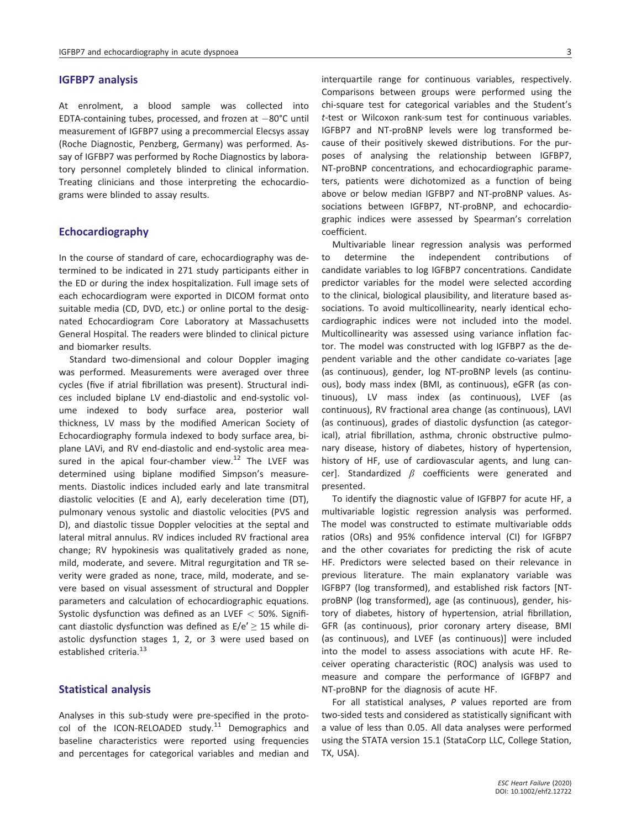#### **IGFBP7 analysis**

At enrolment, a blood sample was collected into EDTA-containing tubes, processed, and frozen at  $-80^{\circ}$ C until measurement of IGFBP7 using a precommercial Elecsys assay (Roche Diagnostic, Penzberg, Germany) was performed. Assay of IGFBP7 was performed by Roche Diagnostics by laboratory personnel completely blinded to clinical information. Treating clinicians and those interpreting the echocardiograms were blinded to assay results.

#### **Echocardiography**

In the course of standard of care, echocardiography was determined to be indicated in 271 study participants either in the ED or during the index hospitalization. Full image sets of each echocardiogram were exported in DICOM format onto suitable media (CD, DVD, etc.) or online portal to the designated Echocardiogram Core Laboratory at Massachusetts General Hospital. The readers were blinded to clinical picture and biomarker results.

Standard two-dimensional and colour Doppler imaging was performed. Measurements were averaged over three cycles (five if atrial fibrillation was present). Structural indices included biplane LV end-diastolic and end-systolic volume indexed to body surface area, posterior wall thickness, LV mass by the modified American Society of Echocardiography formula indexed to body surface area, biplane LAVi, and RV end-diastolic and end-systolic area measured in the apical four-chamber view. $12$  The LVEF was determined using biplane modified Simpson's measurements. Diastolic indices included early and late transmitral diastolic velocities (E and A), early deceleration time (DT), pulmonary venous systolic and diastolic velocities (PVS and D), and diastolic tissue Doppler velocities at the septal and lateral mitral annulus. RV indices included RV fractional area change; RV hypokinesis was qualitatively graded as none, mild, moderate, and severe. Mitral regurgitation and TR severity were graded as none, trace, mild, moderate, and severe based on visual assessment of structural and Doppler parameters and calculation of echocardiographic equations. Systolic dysfunction was defined as an LVEF *<* 50%. Significant diastolic dysfunction was defined as  $E/e' \geq 15$  while diastolic dysfunction stages 1, 2, or 3 were used based on established criteria.<sup>13</sup>

#### **Statistical analysis**

Analyses in this sub-study were pre-specified in the protocol of the ICON-RELOADED study. $11$  Demographics and baseline characteristics were reported using frequencies and percentages for categorical variables and median and

interquartile range for continuous variables, respectively. Comparisons between groups were performed using the chi-square test for categorical variables and the Student's *t*-test or Wilcoxon rank-sum test for continuous variables. IGFBP7 and NT-proBNP levels were log transformed because of their positively skewed distributions. For the purposes of analysing the relationship between IGFBP7, NT-proBNP concentrations, and echocardiographic parameters, patients were dichotomized as a function of being above or below median IGFBP7 and NT-proBNP values. Associations between IGFBP7, NT-proBNP, and echocardiographic indices were assessed by Spearman's correlation coefficient.

Multivariable linear regression analysis was performed to determine the independent contributions of candidate variables to log IGFBP7 concentrations. Candidate predictor variables for the model were selected according to the clinical, biological plausibility, and literature based associations. To avoid multicollinearity, nearly identical echocardiographic indices were not included into the model. Multicollinearity was assessed using variance inflation factor. The model was constructed with log IGFBP7 as the dependent variable and the other candidate co-variates [age (as continuous), gender, log NT-proBNP levels (as continuous), body mass index (BMI, as continuous), eGFR (as continuous), LV mass index (as continuous), LVEF (as continuous), RV fractional area change (as continuous), LAVI (as continuous), grades of diastolic dysfunction (as categorical), atrial fibrillation, asthma, chronic obstructive pulmonary disease, history of diabetes, history of hypertension, history of HF, use of cardiovascular agents, and lung cancer]. Standardized *β* coefficients were generated and presented.

To identify the diagnostic value of IGFBP7 for acute HF, a multivariable logistic regression analysis was performed. The model was constructed to estimate multivariable odds ratios (ORs) and 95% confidence interval (CI) for IGFBP7 and the other covariates for predicting the risk of acute HF. Predictors were selected based on their relevance in previous literature. The main explanatory variable was IGFBP7 (log transformed), and established risk factors [NTproBNP (log transformed), age (as continuous), gender, history of diabetes, history of hypertension, atrial fibrillation, GFR (as continuous), prior coronary artery disease, BMI (as continuous), and LVEF (as continuous)] were included into the model to assess associations with acute HF. Receiver operating characteristic (ROC) analysis was used to measure and compare the performance of IGFBP7 and NT-proBNP for the diagnosis of acute HF.

For all statistical analyses, *P* values reported are from two-sided tests and considered as statistically significant with a value of less than 0.05. All data analyses were performed using the STATA version 15.1 (StataCorp LLC, College Station, TX, USA).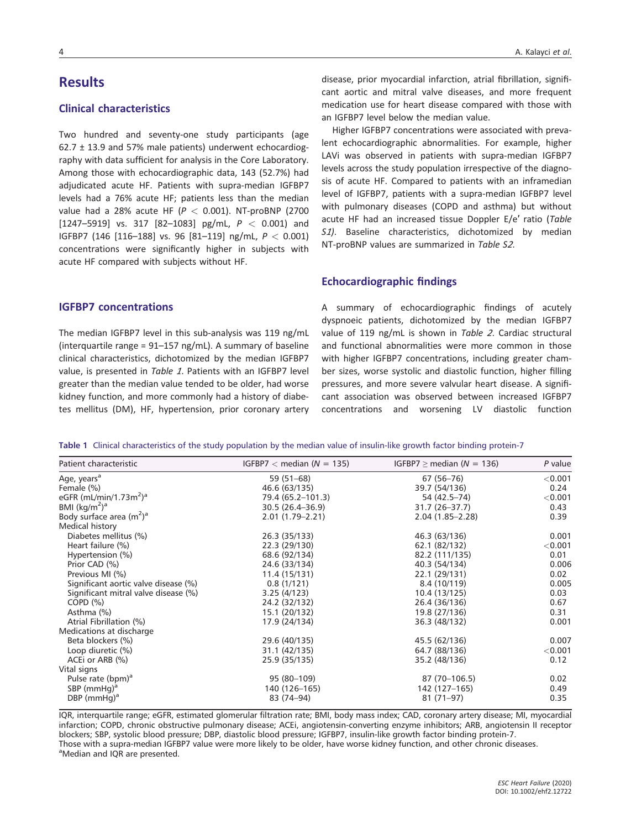## **Results**

#### **Clinical characteristics**

Two hundred and seventy-one study participants (age 62.7 ± 13.9 and 57% male patients) underwent echocardiography with data sufficient for analysis in the Core Laboratory. Among those with echocardiographic data, 143 (52.7%) had adjudicated acute HF. Patients with supra-median IGFBP7 levels had a 76% acute HF; patients less than the median value had a 28% acute HF (*P <* 0.001). NT-proBNP (2700 [1247–5919] vs. 317 [82–1083] pg/mL, *P <* 0.001) and IGFBP7 (146 [116–188] vs. 96 [81–119] ng/mL, *P <* 0.001) concentrations were significantly higher in subjects with acute HF compared with subjects without HF.

#### **IGFBP7 concentrations**

The median IGFBP7 level in this sub-analysis was 119 ng/mL (interquartile range = 91–157 ng/mL). A summary of baseline clinical characteristics, dichotomized by the median IGFBP7 value, is presented in *Table <sup>1</sup>*. Patients with an IGFBP7 level greater than the median value tended to be older, had worse kidney function, and more commonly had a history of diabetes mellitus (DM), HF, hypertension, prior coronary artery disease, prior myocardial infarction, atrial fibrillation, significant aortic and mitral valve diseases, and more frequent medication use for heart disease compared with those with an IGFBP7 level below the median value.

Higher IGFBP7 concentrations were associated with prevalent echocardiographic abnormalities. For example, higher LAVi was observed in patients with supra-median IGFBP7 levels across the study population irrespective of the diagnosis of acute HF. Compared to patients with an inframedian level of IGFBP7, patients with a supra-median IGFBP7 level with pulmonary diseases (COPD and asthma) but without acute HF had an increased tissue Doppler E/e′ ratio (*Table S1)*. Baseline characteristics, dichotomized by median NT-proBNP values are summarized in *Table S2*.

#### **Echocardiographic findings**

A summary of echocardiographic findings of acutely dyspnoeic patients, dichotomized by the median IGFBP7 value of 119 ng/mL is shown in *Table <sup>2</sup>*. Cardiac structural and functional abnormalities were more common in those with higher IGFBP7 concentrations, including greater chamber sizes, worse systolic and diastolic function, higher filling pressures, and more severe valvular heart disease. A significant association was observed between increased IGFBP7 concentrations and worsening LV diastolic function

| Table 1 Clinical characteristics of the study population by the median value of insulin-like growth factor binding protein-7 |  |  |  |
|------------------------------------------------------------------------------------------------------------------------------|--|--|--|
|                                                                                                                              |  |  |  |

| IGFBP7 $<$ median ( $N = 135$ ) | IGFBP7 $\geq$ median ( $N = 136$ ) | P value |
|---------------------------------|------------------------------------|---------|
| $59(51-68)$                     | $67(56-76)$                        | < 0.001 |
| 46.6 (63/135)                   | 39.7 (54/136)                      | 0.24    |
| 79.4 (65.2–101.3)               | 54 (42.5–74)                       | < 0.001 |
| $30.5(26.4-36.9)$               | $31.7(26-37.7)$                    | 0.43    |
| $2.01(1.79 - 2.21)$             | $2.04(1.85 - 2.28)$                | 0.39    |
|                                 |                                    |         |
| 26.3 (35/133)                   | 46.3 (63/136)                      | 0.001   |
| 22.3 (29/130)                   | 62.1 (82/132)                      | < 0.001 |
| 68.6 (92/134)                   | 82.2 (111/135)                     | 0.01    |
| 24.6 (33/134)                   | 40.3 (54/134)                      | 0.006   |
| 11.4 (15/131)                   | 22.1 (29/131)                      | 0.02    |
| 0.8(1/121)                      | 8.4 (10/119)                       | 0.005   |
| 3.25(4/123)                     | 10.4 (13/125)                      | 0.03    |
| 24.2 (32/132)                   | 26.4 (36/136)                      | 0.67    |
| 15.1 (20/132)                   | 19.8 (27/136)                      | 0.31    |
| 17.9 (24/134)                   | 36.3 (48/132)                      | 0.001   |
|                                 |                                    |         |
| 29.6 (40/135)                   | 45.5 (62/136)                      | 0.007   |
| 31.1 (42/135)                   | 64.7 (88/136)                      | < 0.001 |
| 25.9 (35/135)                   | 35.2 (48/136)                      | 0.12    |
|                                 |                                    |         |
| 95 (80-109)                     | 87 (70-106.5)                      | 0.02    |
| 140 (126-165)                   | 142 (127–165)                      | 0.49    |
| 83 (74-94)                      | $81(71-97)$                        | 0.35    |
|                                 |                                    |         |

IQR, interquartile range; eGFR, estimated glomerular filtration rate; BMI, body mass index; CAD, coronary artery disease; MI, myocardial infarction; COPD, chronic obstructive pulmonary disease; ACEi, angiotensin-converting enzyme inhibitors; ARB, angiotensin II receptor blockers; SBP, systolic blood pressure; DBP, diastolic blood pressure; IGFBP7, insulin-like growth factor binding protein-7. Those with a supra-median IGFBP7 value were more likely to be older, have worse kidney function, and other chronic diseases. <sup>a</sup>Median and IQR are presented.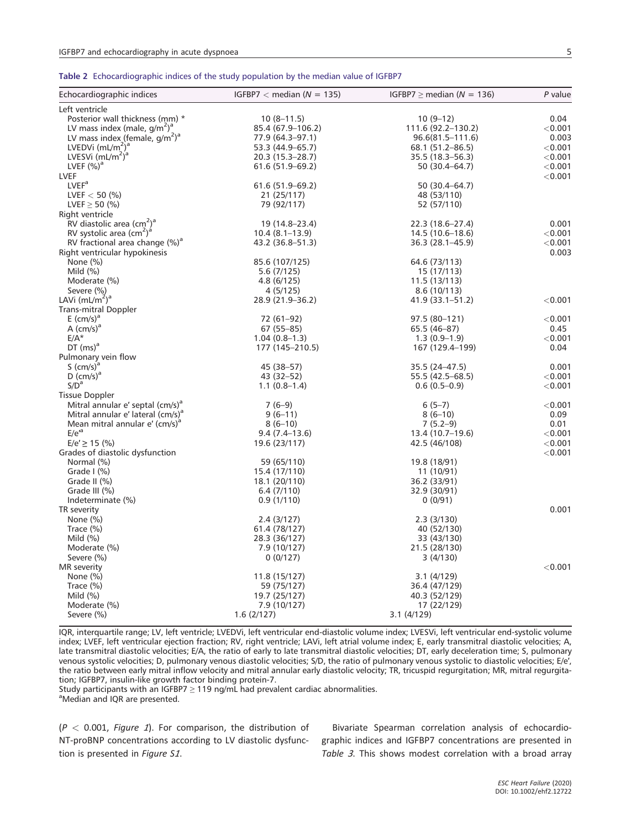|  | <b>Table 2</b> Echocardiographic indices of the study population by the median value of IGFBP7 |  |  |  |
|--|------------------------------------------------------------------------------------------------|--|--|--|
|--|------------------------------------------------------------------------------------------------|--|--|--|

| Echocardiographic indices                          | IGFBP7 $<$ median ( $N = 135$ ) | IGFBP7 $\geq$ median (N = 136) | P value   |
|----------------------------------------------------|---------------------------------|--------------------------------|-----------|
| Left ventricle                                     |                                 |                                |           |
| Posterior wall thickness (mm) *                    | $10(8-11.5)$                    | $10(9-12)$                     | 0.04      |
| LV mass index (male, $g/m^2$ ) <sup>a</sup>        | 85.4 (67.9-106.2)               | $111.6(92.2-130.2)$            | < 0.001   |
| LV mass index (female, $g/m^2$ ) <sup>a</sup>      | 77.9 (64.3–97.1)                | $96.6(81.5 - 111.6)$           | 0.003     |
| LVEDVi $(mL/m^2)^a$                                | 53.3 (44.9–65.7)                | $68.1(51.2 - 86.5)$            | $<$ 0.001 |
| LVESVi $(mL/m^2)^a$                                | 20.3 (15.3–28.7)                | $35.5(18.3 - 56.3)$            | < 0.001   |
| LVEF $(\%)^a$                                      | $61.6(51.9-69.2)$               | 50 (30.4–64.7)                 | < 0.001   |
| LVEF                                               |                                 |                                | < 0.001   |
| LVEF <sup>a</sup>                                  | 61.6 (51.9–69.2)                | 50 (30.4–64.7)                 |           |
| $LVEF < 50$ (%)                                    | 21 (25/117)                     | 48 (53/110)                    |           |
| LVEF $\geq$ 50 (%)                                 | 79 (92/117)                     | 52 (57/110)                    |           |
| Right ventricle                                    |                                 |                                |           |
| RV diastolic area (cm <sup>2</sup> ) <sup>a</sup>  |                                 |                                | 0.001     |
| RV systolic area $\text{(cm}^2\text{)}^{\text{a}}$ | 19 (14.8–23.4)                  | $22.3(18.6 - 27.4)$            |           |
|                                                    | $10.4(8.1-13.9)$                | $14.5(10.6-18.6)$              | < 0.001   |
| RV fractional area change (%) <sup>a</sup>         | 43.2 (36.8–51.3)                | 36.3 (28.1–45.9)               | $<$ 0.001 |
| Right ventricular hypokinesis                      |                                 |                                | 0.003     |
| None $(\%)$                                        | 85.6 (107/125)                  | 64.6 (73/113)                  |           |
| Mild $(\%)$                                        | 5.6 (7/125)                     | 15 (17/113)                    |           |
| Moderate (%)                                       | 4.8(6/125)                      | 11.5(13/113)                   |           |
| Severe (%)                                         | 4(5/125)                        | 8.6(10/113)                    |           |
| LAVi $(mL/m^2)^a$                                  | 28.9 (21.9–36.2)                | $41.9(33.1 - 51.2)$            | < 0.001   |
| <b>Trans-mitral Doppler</b>                        |                                 |                                |           |
| $E$ (cm/s) <sup><math>d</math></sup>               | 72 (61-92)                      | 97.5 (80-121)                  | < 0.001   |
| $A$ (cm/s) <sup>d</sup>                            | $67(55-85)$                     | 65.5 (46-87)                   | 0.45      |
| $E/A^*$                                            | $1.04(0.8-1.3)$                 | $1.3(0.9-1.9)$                 | < 0.001   |
| $DT$ (ms) <sup>a</sup>                             | 177 (145-210.5)                 | 167 (129.4–199)                | 0.04      |
| Pulmonary vein flow                                |                                 |                                |           |
| S $\text{(cm/s)}^d$                                | 45 (38–57)                      | 35.5 (24–47.5)                 | 0.001     |
| $D (cm/s)^{a}$                                     | 43 (32–52)                      | 55.5 (42.5–68.5)               | < 0.001   |
| S/D <sup>a</sup>                                   | $1.1(0.8-1.4)$                  | $0.6(0.5-0.9)$                 | < 0.001   |
| <b>Tissue Doppler</b>                              |                                 |                                |           |
| Mitral annular e' septal (cm/s) <sup>a</sup>       | $7(6-9)$                        | $6(5-7)$                       | < 0.001   |
| Mitral annular e' lateral (cm/s) <sup>a</sup>      | $9(6-11)$                       | $8(6-10)$                      | 0.09      |
| Mean mitral annular e' (cm/s) <sup>a</sup>         | $8(6-10)$                       | $7(5.2-9)$                     | 0.01      |
| $E/e^{\prime a}$                                   | $9.4(7.4-13.6)$                 | 13.4 (10.7–19.6)               | < 0.001   |
| $E/e' \ge 15$ (%)                                  | 19.6 (23/117)                   | 42.5 (46/108)                  | < 0.001   |
| Grades of diastolic dysfunction                    |                                 |                                | < 0.001   |
| Normal (%)                                         | 59 (65/110)                     | 19.8 (18/91)                   |           |
| Grade $\frac{1}{2}$                                | 15.4 (17/110)                   | 11 (10/91)                     |           |
| Grade II (%)                                       | 18.1 (20/110)                   | 36.2 (33/91)                   |           |
| Grade III (%)                                      | 6.4(7/110)                      | 32.9 (30/91)                   |           |
| Indeterminate (%)                                  | 0.9(1/110)                      | 0(0/91)                        |           |
| TR severity                                        |                                 |                                | 0.001     |
| None $(\%)$                                        | 2.4(3/127)                      | 2.3(3/130)                     |           |
| Trace $(\%)$                                       | 61.4 (78/127)                   | 40 (52/130)                    |           |
| Mild $(\%)$                                        | 28.3 (36/127)                   | 33 (43/130)                    |           |
|                                                    |                                 |                                |           |
| Moderate (%)                                       | 7.9 (10/127)                    | 21.5 (28/130)                  |           |
| Severe (%)                                         | 0(0/127)                        | 3(4/130)                       | < 0.001   |
| MR severity                                        |                                 |                                |           |
| None $(\%)$                                        | 11.8 (15/127)                   | 3.1 (4/129)                    |           |
| Trace $(\%)$                                       | 59 (75/127)                     | 36.4 (47/129)                  |           |
| Mild $(\%)$                                        | 19.7 (25/127)                   | 40.3 (52/129)                  |           |
| Moderate (%)                                       | 7.9 (10/127)                    | 17 (22/129)                    |           |
| Severe (%)                                         | 1.6(2/127)                      | 3.1(4/129)                     |           |
|                                                    |                                 |                                |           |

IQR, interquartile range; LV, left ventricle; LVEDVi, left ventricular end-diastolic volume index; LVESVi, left ventricular end-systolic volume index; LVEF, left ventricular ejection fraction; RV, right ventricle; LAVi, left atrial volume index; E, early transmitral diastolic velocities; A, late transmitral diastolic velocities; E/A, the ratio of early to late transmitral diastolic velocities; DT, early deceleration time; S, pulmonary venous systolic velocities; D, pulmonary venous diastolic velocities; S/D, the ratio of pulmonary venous systolic to diastolic velocities; E/e′, the ratio between early mitral inflow velocity and mitral annular early diastolic velocity; TR, tricuspid regurgitation; MR, mitral regurgitation; IGFBP7, insulin-like growth factor binding protein-7.

Study participants with an IGFBP7  $\geq$  119 ng/mL had prevalent cardiac abnormalities. Median and IQR are presented.

(*P <* 0.001, *Figure <sup>1</sup>*). For comparison, the distribution of NT-proBNP concentrations according to LV diastolic dysfunction is presented in *Figure S1*.

Bivariate Spearman correlation analysis of echocardiographic indices and IGFBP7 concentrations are presented in *Table <sup>3</sup>*. This shows modest correlation with a broad array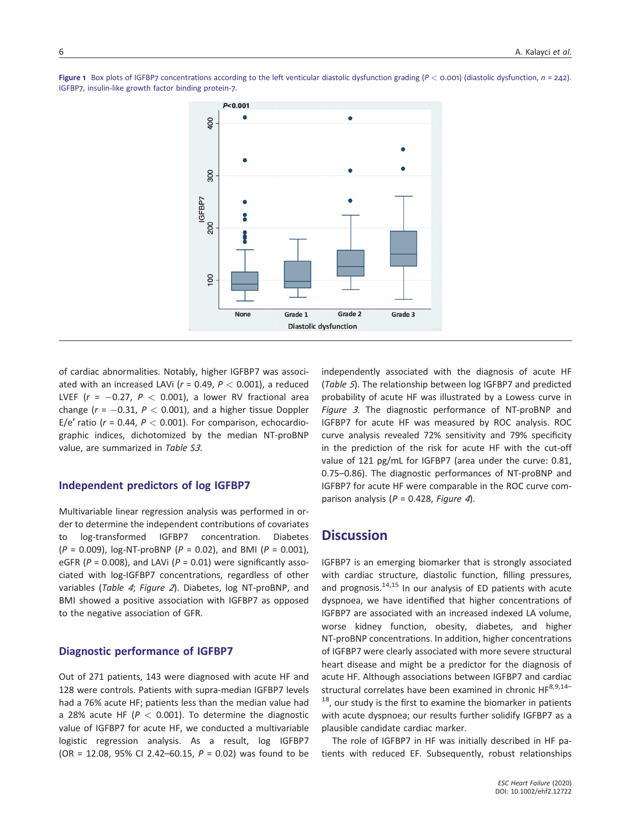**Figure 1** Box plots of IGFBP7 concentrations according to the left venticular diastolic dysfunction grading (*P <* 0.001) (diastolic dysfunction, *n =* 242). IGFBP7, insulin-like growth factor binding protein-7.



of cardiac abnormalities. Notably, higher IGFBP7 was associated with an increased LAVi (*r* = 0.49, *P <* 0.001), a reduced LVEF ( $r = -0.27$ ,  $P < 0.001$ ), a lower RV fractional area change  $(r = -0.31, P < 0.001)$ , and a higher tissue Doppler E/e' ratio ( $r = 0.44$ ,  $P < 0.001$ ). For comparison, echocardiographic indices, dichotomized by the median NT-proBNP value, are summarized in *Table S3*.

#### **Independent predictors of log IGFBP7**

Multivariable linear regression analysis was performed in order to determine the independent contributions of covariates to log-transformed IGFBP7 concentration. Diabetes (*P* = 0.009), log-NT-proBNP (*P* = 0.02), and BMI (*P* = 0.001), eGFR ( $P = 0.008$ ), and LAVi ( $P = 0.01$ ) were significantly associated with log-IGFBP7 concentrations, regardless of other variables (*Table <sup>4</sup>*; *Figure <sup>2</sup>*). Diabetes, log NT-proBNP, and BMI showed a positive association with IGFBP7 as opposed to the negative association of GFR.

#### **Diagnostic performance of IGFBP7**

Out of 271 patients, 143 were diagnosed with acute HF and 128 were controls. Patients with supra-median IGFBP7 levels had a 76% acute HF; patients less than the median value had a 28% acute HF (*P <* 0.001). To determine the diagnostic value of IGFBP7 for acute HF, we conducted a multivariable logistic regression analysis. As a result, log IGFBP7 (OR = 12.08, 95% CI 2.42–60.15, *P* = 0.02) was found to be independently associated with the diagnosis of acute HF (*Table <sup>5</sup>*). The relationship between log IGFBP7 and predicted probability of acute HF was illustrated by a Lowess curve in *Figure <sup>3</sup>*. The diagnostic performance of NT-proBNP and IGFBP7 for acute HF was measured by ROC analysis. ROC curve analysis revealed 72% sensitivity and 79% specificity in the prediction of the risk for acute HF with the cut-off value of 121 pg/mL for IGFBP7 (area under the curve: 0.81, 0.75–0.86). The diagnostic performances of NT-proBNP and IGFBP7 for acute HF were comparable in the ROC curve comparison analysis (*P* = 0.428, *Figure <sup>4</sup>*).

#### **Discussion**

IGFBP7 is an emerging biomarker that is strongly associated with cardiac structure, diastolic function, filling pressures, and prognosis. $14,15$  In our analysis of ED patients with acute dyspnoea, we have identified that higher concentrations of IGFBP7 are associated with an increased indexed LA volume, worse kidney function, obesity, diabetes, and higher NT-proBNP concentrations. In addition, higher concentrations of IGFBP7 were clearly associated with more severe structural heart disease and might be a predictor for the diagnosis of acute HF. Although associations between IGFBP7 and cardiac structural correlates have been examined in chronic HF<sup>8,9,14-</sup>  $18$ , our study is the first to examine the biomarker in patients with acute dyspnoea; our results further solidify IGFBP7 as a plausible candidate cardiac marker.

The role of IGFBP7 in HF was initially described in HF patients with reduced EF. Subsequently, robust relationships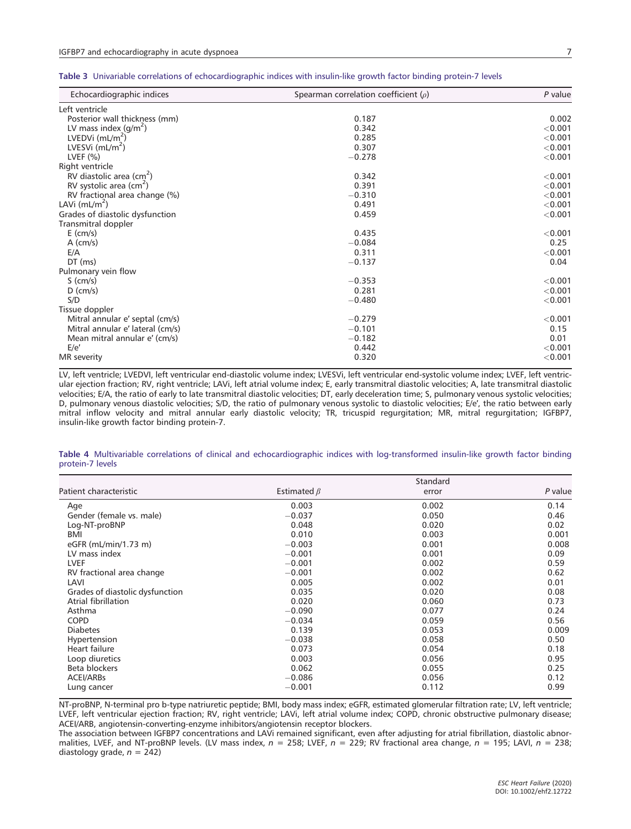|  |  | Table 3 Univariable correlations of echocardiographic indices with insulin-like growth factor binding protein-7 levels |  |  |
|--|--|------------------------------------------------------------------------------------------------------------------------|--|--|
|--|--|------------------------------------------------------------------------------------------------------------------------|--|--|

| Echocardiographic indices            | Spearman correlation coefficient $(\rho)$ | $P$ value |
|--------------------------------------|-------------------------------------------|-----------|
| Left ventricle                       |                                           |           |
| Posterior wall thickness (mm)        | 0.187                                     | 0.002     |
| LV mass index $(g/m^2)$              | 0.342                                     | < 0.001   |
| LVEDVi $(mL/m^2)$                    | 0.285                                     | < 0.001   |
| LVESVi (mL/m <sup>2</sup> )          | 0.307                                     | < 0.001   |
| LVEF $(% )$                          | $-0.278$                                  | < 0.001   |
| Right ventricle                      |                                           |           |
| RV diastolic area (cm <sup>2</sup> ) | 0.342                                     | < 0.001   |
| RV systolic area $\text{(cm}^2)$     | 0.391                                     | < 0.001   |
| RV fractional area change (%)        | $-0.310$                                  | < 0.001   |
| LAVi $(mL/m^2)$                      | 0.491                                     | < 0.001   |
| Grades of diastolic dysfunction      | 0.459                                     | < 0.001   |
| Transmitral doppler                  |                                           |           |
| $E$ (cm/s)                           | 0.435                                     | < 0.001   |
| $A$ (cm/s)                           | $-0.084$                                  | 0.25      |
| E/A                                  | 0.311                                     | < 0.001   |
| DT (ms)                              | $-0.137$                                  | 0.04      |
| Pulmonary vein flow                  |                                           |           |
| $S$ (cm/s)                           | $-0.353$                                  | < 0.001   |
| $D$ (cm/s)                           | 0.281                                     | < 0.001   |
| S/D                                  | $-0.480$                                  | < 0.001   |
| Tissue doppler                       |                                           |           |
| Mitral annular e' septal (cm/s)      | $-0.279$                                  | < 0.001   |
| Mitral annular e' lateral (cm/s)     | $-0.101$                                  | 0.15      |
| Mean mitral annular e' (cm/s)        | $-0.182$                                  | 0.01      |
| E/e'                                 | 0.442                                     | < 0.001   |
| MR severity                          | 0.320                                     | < 0.001   |

LV, left ventricle; LVEDVI, left ventricular end-diastolic volume index; LVESVi, left ventricular end-systolic volume index; LVEF, left ventricular ejection fraction; RV, right ventricle; LAVi, left atrial volume index; E, early transmitral diastolic velocities; A, late transmitral diastolic velocities; E/A, the ratio of early to late transmitral diastolic velocities; DT, early deceleration time; S, pulmonary venous systolic velocities; D, pulmonary venous diastolic velocities; S/D, the ratio of pulmonary venous systolic to diastolic velocities; E/e′, the ratio between early mitral inflow velocity and mitral annular early diastolic velocity; TR, tricuspid regurgitation; MR, mitral regurgitation; IGFBP7, insulin-like growth factor binding protein-7.

**Table 4** Multivariable correlations of clinical and echocardiographic indices with log-transformed insulin-like growth factor binding protein-7 levels

| Patient characteristic          | Estimated $\beta$ | Standard<br>error | P value |
|---------------------------------|-------------------|-------------------|---------|
| Age                             | 0.003             | 0.002             | 0.14    |
| Gender (female vs. male)        | $-0.037$          | 0.050             | 0.46    |
| Log-NT-proBNP                   | 0.048             | 0.020             | 0.02    |
| BMI                             | 0.010             | 0.003             | 0.001   |
| eGFR (mL/min/1.73 m)            | $-0.003$          | 0.001             | 0.008   |
| LV mass index                   | $-0.001$          | 0.001             | 0.09    |
| <b>LVEF</b>                     | $-0.001$          | 0.002             | 0.59    |
| RV fractional area change       | $-0.001$          | 0.002             | 0.62    |
| LAVI                            | 0.005             | 0.002             | 0.01    |
| Grades of diastolic dysfunction | 0.035             | 0.020             | 0.08    |
| <b>Atrial fibrillation</b>      | 0.020             | 0.060             | 0.73    |
| Asthma                          | $-0.090$          | 0.077             | 0.24    |
| <b>COPD</b>                     | $-0.034$          | 0.059             | 0.56    |
| <b>Diabetes</b>                 | 0.139             | 0.053             | 0.009   |
| Hypertension                    | $-0.038$          | 0.058             | 0.50    |
| Heart failure                   | 0.073             | 0.054             | 0.18    |
| Loop diuretics                  | 0.003             | 0.056             | 0.95    |
| Beta blockers                   | 0.062             | 0.055             | 0.25    |
| ACEI/ARBs                       | $-0.086$          | 0.056             | 0.12    |
| Lung cancer                     | $-0.001$          | 0.112             | 0.99    |

NT-proBNP, N-terminal pro b-type natriuretic peptide; BMI, body mass index; eGFR, estimated glomerular filtration rate; LV, left ventricle; LVEF, left ventricular ejection fraction; RV, right ventricle; LAVi, left atrial volume index; COPD, chronic obstructive pulmonary disease; ACEI/ARB, angiotensin-converting-enzyme inhibitors/angiotensin receptor blockers.

The association between IGFBP7 concentrations and LAVi remained significant, even after adjusting for atrial fibrillation, diastolic abnormalities, LVEF, and NT-proBNP levels. (LV mass index, *n* = 258; LVEF, *n* = 229; RV fractional area change, *n* = 195; LAVI, *n* = 238; diastology grade,  $n = 242$ )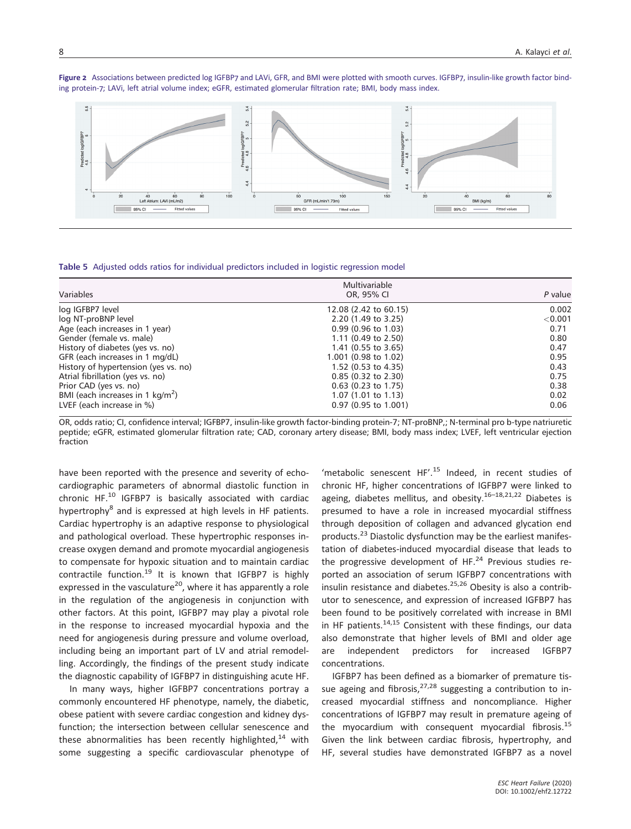

**Figure 2** Associations between predicted log IGFBP7 and LAVi, GFR, and BMI were plotted with smooth curves. IGFBP7, insulin-like growth factor binding protein-7; LAVi, left atrial volume index; eGFR, estimated glomerular filtration rate; BMI, body mass index.

#### **Table 5** Adjusted odds ratios for individual predictors included in logistic regression model

|                                            | Multivariable                 |         |
|--------------------------------------------|-------------------------------|---------|
| Variables                                  | OR. 95% CI                    | P value |
| log IGFBP7 level                           | 12.08 (2.42 to 60.15)         | 0.002   |
| log NT-proBNP level                        | 2.20 (1.49 to 3.25)           | < 0.001 |
| Age (each increases in 1 year)             | $0.99$ (0.96 to 1.03)         | 0.71    |
| Gender (female vs. male)                   | $1.11(0.49 \text{ to } 2.50)$ | 0.80    |
| History of diabetes (yes vs. no)           | $1.41$ (0.55 to 3.65)         | 0.47    |
| GFR (each increases in 1 mg/dL)            | 1.001 (0.98 to 1.02)          | 0.95    |
| History of hypertension (yes vs. no)       | 1.52 (0.53 to 4.35)           | 0.43    |
| Atrial fibrillation (yes vs. no)           | 0.85 (0.32 to 2.30)           | 0.75    |
| Prior CAD (yes vs. no)                     | $0.63$ (0.23 to 1.75)         | 0.38    |
| BMI (each increases in 1 $\text{kg/m}^2$ ) | $1.07(1.01 \text{ to } 1.13)$ | 0.02    |
| LVEF (each increase in %)                  | 0.97 (0.95 to 1.001)          | 0.06    |

OR, odds ratio; CI, confidence interval; IGFBP7, insulin-like growth factor-binding protein-7; NT-proBNP,; N-terminal pro b-type natriuretic peptide; eGFR, estimated glomerular filtration rate; CAD, coronary artery disease; BMI, body mass index; LVEF, left ventricular ejection fraction

have been reported with the presence and severity of echocardiographic parameters of abnormal diastolic function in chronic HF.<sup>10</sup> IGFBP7 is basically associated with cardiac hypertrophy<sup>8</sup> and is expressed at high levels in HF patients. Cardiac hypertrophy is an adaptive response to physiological and pathological overload. These hypertrophic responses increase oxygen demand and promote myocardial angiogenesis to compensate for hypoxic situation and to maintain cardiac contractile function.<sup>19</sup> It is known that IGFBP7 is highly expressed in the vasculature<sup>20</sup>, where it has apparently a role in the regulation of the angiogenesis in conjunction with other factors. At this point, IGFBP7 may play a pivotal role in the response to increased myocardial hypoxia and the need for angiogenesis during pressure and volume overload, including being an important part of LV and atrial remodelling. Accordingly, the findings of the present study indicate the diagnostic capability of IGFBP7 in distinguishing acute HF.

In many ways, higher IGFBP7 concentrations portray a commonly encountered HF phenotype, namely, the diabetic, obese patient with severe cardiac congestion and kidney dysfunction; the intersection between cellular senescence and these abnormalities has been recently highlighted, $14$  with some suggesting a specific cardiovascular phenotype of 'metabolic senescent HF'.<sup>15</sup> Indeed, in recent studies of chronic HF, higher concentrations of IGFBP7 were linked to ageing, diabetes mellitus, and obesity.<sup>16-18,21,22</sup> Diabetes is presumed to have a role in increased myocardial stiffness through deposition of collagen and advanced glycation end products.<sup>23</sup> Diastolic dysfunction may be the earliest manifestation of diabetes-induced myocardial disease that leads to the progressive development of  $HF<sup>24</sup>$  Previous studies reported an association of serum IGFBP7 concentrations with insulin resistance and diabetes.<sup>25,26</sup> Obesity is also a contributor to senescence, and expression of increased IGFBP7 has been found to be positively correlated with increase in BMI in HF patients. $14,15$  Consistent with these findings, our data also demonstrate that higher levels of BMI and older age are independent predictors for increased IGFBP7 concentrations.

IGFBP7 has been defined as a biomarker of premature tissue ageing and fibrosis,  $27,28$  suggesting a contribution to increased myocardial stiffness and noncompliance. Higher concentrations of IGFBP7 may result in premature ageing of the myocardium with consequent myocardial fibrosis.<sup>15</sup> Given the link between cardiac fibrosis, hypertrophy, and HF, several studies have demonstrated IGFBP7 as a novel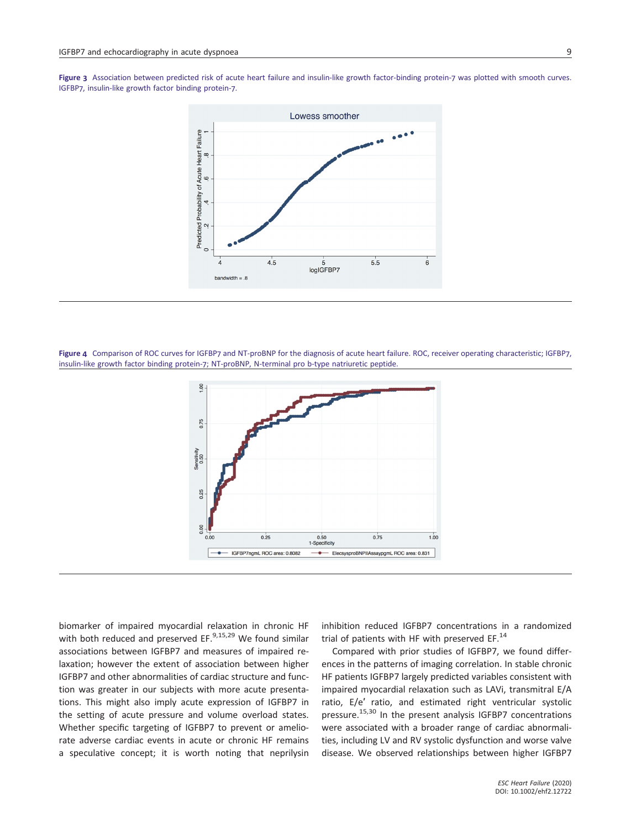**Figure 3** Association between predicted risk of acute heart failure and insulin-like growth factor-binding protein-7 was plotted with smooth curves. IGFBP7, insulin-like growth factor binding protein-7.



**Figure 4** Comparison of ROC curves for IGFBP7 and NT-proBNP for the diagnosis of acute heart failure. ROC, receiver operating characteristic; IGFBP7, insulin-like growth factor binding protein-7; NT-proBNP, N-terminal pro b-type natriuretic peptide.



biomarker of impaired myocardial relaxation in chronic HF with both reduced and preserved EF.<sup>9,15,29</sup> We found similar associations between IGFBP7 and measures of impaired relaxation; however the extent of association between higher IGFBP7 and other abnormalities of cardiac structure and function was greater in our subjects with more acute presentations. This might also imply acute expression of IGFBP7 in the setting of acute pressure and volume overload states. Whether specific targeting of IGFBP7 to prevent or ameliorate adverse cardiac events in acute or chronic HF remains a speculative concept; it is worth noting that neprilysin

inhibition reduced IGFBP7 concentrations in a randomized trial of patients with HF with preserved EF.<sup>14</sup>

Compared with prior studies of IGFBP7, we found differences in the patterns of imaging correlation. In stable chronic HF patients IGFBP7 largely predicted variables consistent with impaired myocardial relaxation such as LAVi, transmitral E/A ratio, E/e′ ratio, and estimated right ventricular systolic pressure.15,<sup>30</sup> In the present analysis IGFBP7 concentrations were associated with a broader range of cardiac abnormalities, including LV and RV systolic dysfunction and worse valve disease. We observed relationships between higher IGFBP7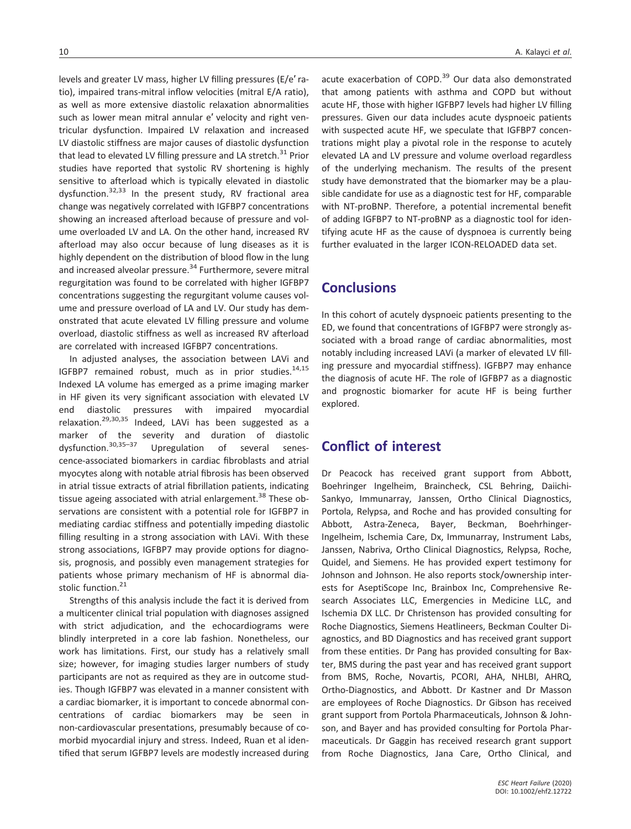levels and greater LV mass, higher LV filling pressures (E/e′ ratio), impaired trans-mitral inflow velocities (mitral E/A ratio), as well as more extensive diastolic relaxation abnormalities such as lower mean mitral annular e′ velocity and right ventricular dysfunction. Impaired LV relaxation and increased LV diastolic stiffness are major causes of diastolic dysfunction that lead to elevated LV filling pressure and LA stretch.<sup>31</sup> Prior studies have reported that systolic RV shortening is highly sensitive to afterload which is typically elevated in diastolic dysfunction. $32,33$  In the present study, RV fractional area change was negatively correlated with IGFBP7 concentrations showing an increased afterload because of pressure and volume overloaded LV and LA. On the other hand, increased RV afterload may also occur because of lung diseases as it is highly dependent on the distribution of blood flow in the lung and increased alveolar pressure.<sup>34</sup> Furthermore, severe mitral regurgitation was found to be correlated with higher IGFBP7 concentrations suggesting the regurgitant volume causes volume and pressure overload of LA and LV. Our study has demonstrated that acute elevated LV filling pressure and volume overload, diastolic stiffness as well as increased RV afterload are correlated with increased IGFBP7 concentrations.

In adjusted analyses, the association between LAVi and IGFBP7 remained robust, much as in prior studies.<sup>14,15</sup> Indexed LA volume has emerged as a prime imaging marker in HF given its very significant association with elevated LV end diastolic pressures with impaired myocardial relaxation.29,30,<sup>35</sup> Indeed, LAVi has been suggested as a marker of the severity and duration of diastolic dysfunction.30,35–<sup>37</sup> Upregulation of several senescence-associated biomarkers in cardiac fibroblasts and atrial myocytes along with notable atrial fibrosis has been observed in atrial tissue extracts of atrial fibrillation patients, indicating tissue ageing associated with atrial enlargement.<sup>38</sup> These observations are consistent with a potential role for IGFBP7 in mediating cardiac stiffness and potentially impeding diastolic filling resulting in a strong association with LAVi. With these strong associations, IGFBP7 may provide options for diagnosis, prognosis, and possibly even management strategies for patients whose primary mechanism of HF is abnormal diastolic function.<sup>21</sup>

Strengths of this analysis include the fact it is derived from a multicenter clinical trial population with diagnoses assigned with strict adjudication, and the echocardiograms were blindly interpreted in a core lab fashion. Nonetheless, our work has limitations. First, our study has a relatively small size; however, for imaging studies larger numbers of study participants are not as required as they are in outcome studies. Though IGFBP7 was elevated in a manner consistent with a cardiac biomarker, it is important to concede abnormal concentrations of cardiac biomarkers may be seen in non-cardiovascular presentations, presumably because of comorbid myocardial injury and stress. Indeed, Ruan et al identified that serum IGFBP7 levels are modestly increased during

acute exacerbation of COPD.<sup>39</sup> Our data also demonstrated that among patients with asthma and COPD but without acute HF, those with higher IGFBP7 levels had higher LV filling pressures. Given our data includes acute dyspnoeic patients with suspected acute HF, we speculate that IGFBP7 concentrations might play a pivotal role in the response to acutely elevated LA and LV pressure and volume overload regardless of the underlying mechanism. The results of the present study have demonstrated that the biomarker may be a plausible candidate for use as a diagnostic test for HF, comparable with NT-proBNP. Therefore, a potential incremental benefit of adding IGFBP7 to NT-proBNP as a diagnostic tool for identifying acute HF as the cause of dyspnoea is currently being further evaluated in the larger ICON-RELOADED data set.

### **Conclusions**

In this cohort of acutely dyspnoeic patients presenting to the ED, we found that concentrations of IGFBP7 were strongly associated with a broad range of cardiac abnormalities, most notably including increased LAVi (a marker of elevated LV filling pressure and myocardial stiffness). IGFBP7 may enhance the diagnosis of acute HF. The role of IGFBP7 as a diagnostic and prognostic biomarker for acute HF is being further explored.

## **Conflict of interest**

Dr Peacock has received grant support from Abbott, Boehringer Ingelheim, Braincheck, CSL Behring, Daiichi-Sankyo, Immunarray, Janssen, Ortho Clinical Diagnostics, Portola, Relypsa, and Roche and has provided consulting for Abbott, Astra-Zeneca, Bayer, Beckman, Boehrhinger-Ingelheim, Ischemia Care, Dx, Immunarray, Instrument Labs, Janssen, Nabriva, Ortho Clinical Diagnostics, Relypsa, Roche, Quidel, and Siemens. He has provided expert testimony for Johnson and Johnson. He also reports stock/ownership interests for AseptiScope Inc, Brainbox Inc, Comprehensive Research Associates LLC, Emergencies in Medicine LLC, and Ischemia DX LLC. Dr Christenson has provided consulting for Roche Diagnostics, Siemens Heatlineers, Beckman Coulter Diagnostics, and BD Diagnostics and has received grant support from these entities. Dr Pang has provided consulting for Baxter, BMS during the past year and has received grant support from BMS, Roche, Novartis, PCORI, AHA, NHLBI, AHRQ, Ortho-Diagnostics, and Abbott. Dr Kastner and Dr Masson are employees of Roche Diagnostics. Dr Gibson has received grant support from Portola Pharmaceuticals, Johnson & Johnson, and Bayer and has provided consulting for Portola Pharmaceuticals. Dr Gaggin has received research grant support from Roche Diagnostics, Jana Care, Ortho Clinical, and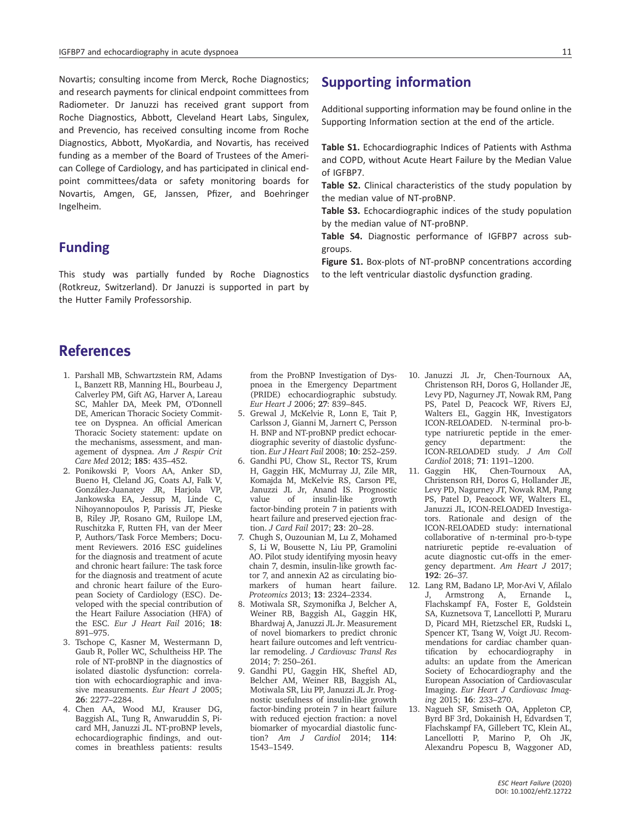Novartis; consulting income from Merck, Roche Diagnostics; and research payments for clinical endpoint committees from Radiometer. Dr Januzzi has received grant support from Roche Diagnostics, Abbott, Cleveland Heart Labs, Singulex, and Prevencio, has received consulting income from Roche Diagnostics, Abbott, MyoKardia, and Novartis, has received funding as a member of the Board of Trustees of the American College of Cardiology, and has participated in clinical endpoint committees/data or safety monitoring boards for Novartis, Amgen, GE, Janssen, Pfizer, and Boehringer Ingelheim.

## **Funding**

This study was partially funded by Roche Diagnostics (Rotkreuz, Switzerland). Dr Januzzi is supported in part by the Hutter Family Professorship.

## **References**

- 1. Parshall MB, Schwartzstein RM, Adams L, Banzett RB, Manning HL, Bourbeau J, Calverley PM, Gift AG, Harver A, Lareau SC, Mahler DA, Meek PM, O'Donnell DE, American Thoracic Society Committee on Dyspnea. An official American Thoracic Society statement: update on the mechanisms, assessment, and management of dyspnea. *Am J Respir Crit Care Med* 2012; **185**: 435–452.
- 2. Ponikowski P, Voors AA, Anker SD, Bueno H, Cleland JG, Coats AJ, Falk V, González-Juanatey JR, Harjola VP, Jankowska EA, Jessup M, Linde C, Nihoyannopoulos P, Parissis JT, Pieske B, Riley JP, Rosano GM, Ruilope LM, Ruschitzka F, Rutten FH, van der Meer P, Authors/Task Force Members; Document Reviewers. 2016 ESC guidelines for the diagnosis and treatment of acute and chronic heart failure: The task force for the diagnosis and treatment of acute and chronic heart failure of the European Society of Cardiology (ESC). Developed with the special contribution of the Heart Failure Association (HFA) of the ESC. *Eur J Heart Fail* 2016; **18**: 891–975.
- 3. Tschope C, Kasner M, Westermann D, Gaub R, Poller WC, Schultheiss HP. The role of NT-proBNP in the diagnostics of isolated diastolic dysfunction: correlation with echocardiographic and invasive measurements. *Eur Heart J* 2005; **26**: 2277–2284.
- 4. Chen AA, Wood MJ, Krauser DG, Baggish AL, Tung R, Anwaruddin S, Picard MH, Januzzi JL. NT-proBNP levels, echocardiographic findings, and outcomes in breathless patients: results

from the ProBNP Investigation of Dyspnoea in the Emergency Department (PRIDE) echocardiographic substudy. *Eur Heart J* 2006; **27**: 839–845.

- 5. Grewal J, McKelvie R, Lonn E, Tait P, Carlsson J, Gianni M, Jarnert C, Persson H. BNP and NT-proBNP predict echocardiographic severity of diastolic dysfunction. *Eur J Heart Fail* 2008; **10**: 252–259.
- 6. Gandhi PU, Chow SL, Rector TS, Krum H, Gaggin HK, McMurray JJ, Zile MR, Komajda M, McKelvie RS, Carson PE, Januzzi JL Jr, Anand IS. Prognostic value of insulin-like growth factor-binding protein 7 in patients with heart failure and preserved ejection fraction. *J Card Fail* 2017; **23**: 20–28.
- 7. Chugh S, Ouzounian M, Lu Z, Mohamed S, Li W, Bousette N, Liu PP, Gramolini AO. Pilot study identifying myosin heavy chain 7, desmin, insulin-like growth factor 7, and annexin A2 as circulating biomarkers of human heart failure. *Proteomics* 2013; **13**: 2324–2334.
- 8. Motiwala SR, Szymonifka J, Belcher A, Weiner RB, Baggish AL, Gaggin HK, Bhardwaj A, Januzzi JL Jr. Measurement of novel biomarkers to predict chronic heart failure outcomes and left ventricular remodeling. *J Cardiovasc Transl Res* 2014; **7**: 250–261.
- 9. Gandhi PU, Gaggin HK, Sheftel AD, Belcher AM, Weiner RB, Baggish AL, Motiwala SR, Liu PP, Januzzi JL Jr. Prognostic usefulness of insulin-like growth factor-binding protein 7 in heart failure with reduced ejection fraction: a novel biomarker of myocardial diastolic function? *Am J Cardiol* 2014; **114**: 1543–1549.

#### 10. Januzzi JL Jr, Chen-Tournoux AA, Christenson RH, Doros G, Hollander JE, Levy PD, Nagurney JT, Nowak RM, Pang PS, Patel D, Peacock WF, Rivers EJ, Walters EL, Gaggin HK, Investigators ICON-RELOADED. N-terminal pro-btype natriuretic peptide in the emergency<br>department: the department: the  $F_{\text{ED}}$  study  $I$  Am  $Coll$ ICON-RELOADED study. *J Am*

- *Cardiol* 2018; **71**: 1191–1200. 11. Gaggin HK, Chen-Tournoux AA, Christenson RH, Doros G, Hollander JE, Levy PD, Nagurney JT, Nowak RM, Pang PS, Patel D, Peacock WF, Walters EL, Januzzi JL, ICON-RELOADED Investigators. Rationale and design of the ICON-RELOADED study: international collaborative of n-terminal pro-b-type natriuretic peptide re-evaluation of acute diagnostic cut-offs in the emergency department. *Am Heart J* 2017; **192**: 26–37.
- 12. Lang RM, Badano LP, Mor-Avi V, Afilalo J, Armstrong A, Ernande L, Flachskampf FA, Foster E, Goldstein SA, Kuznetsova T, Lancellotti P, Muraru D, Picard MH, Rietzschel ER, Rudski L, Spencer KT, Tsang W, Voigt JU. Recommendations for cardiac chamber quantification by echocardiography in adults: an update from the American Society of Echocardiography and the European Association of Cardiovascular Imaging. *Eur Heart J Cardiovasc Imaging* 2015; **16**: 233–270.
- 13. Nagueh SF, Smiseth OA, Appleton CP, Byrd BF 3rd, Dokainish H, Edvardsen T, Flachskampf FA, Gillebert TC, Klein AL, Lancellotti P, Marino P, Oh JK, Alexandru Popescu B, Waggoner AD,

## **Supporting information**

Additional supporting information may be found online in the Supporting Information section at the end of the article.

**Table S1.** Echocardiographic Indices of Patients with Asthma and COPD, without Acute Heart Failure by the Median Value of IGFBP7.

**Table S2.** Clinical characteristics of the study population by the median value of NT-proBNP.

**Table S3.** Echocardiographic indices of the study population by the median value of NT-proBNP.

**Table S4.** Diagnostic performance of IGFBP7 across subgroups.

**Figure S1.** Box-plots of NT-proBNP concentrations according to the left ventricular diastolic dysfunction grading.